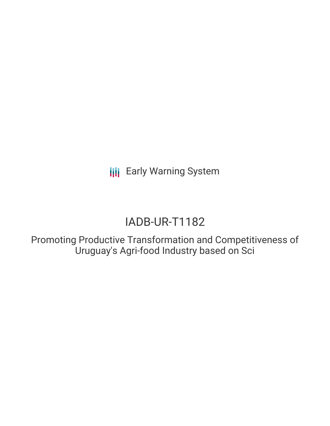**III** Early Warning System

# IADB-UR-T1182

Promoting Productive Transformation and Competitiveness of Uruguay's Agri-food Industry based on Sci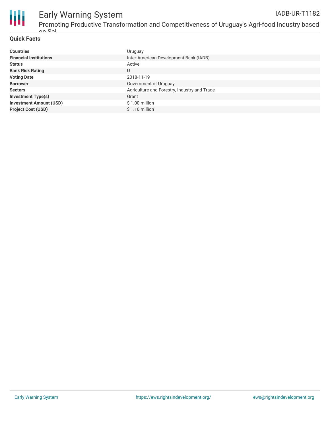

## Early Warning System

#### **Quick Facts**

| <b>Countries</b>               | Uruguay                                      |
|--------------------------------|----------------------------------------------|
| <b>Financial Institutions</b>  | Inter-American Development Bank (IADB)       |
| <b>Status</b>                  | Active                                       |
| <b>Bank Risk Rating</b>        | U                                            |
| <b>Voting Date</b>             | 2018-11-19                                   |
| <b>Borrower</b>                | Government of Uruguay                        |
| <b>Sectors</b>                 | Agriculture and Forestry, Industry and Trade |
| <b>Investment Type(s)</b>      | Grant                                        |
| <b>Investment Amount (USD)</b> | \$1.00 million                               |
| <b>Project Cost (USD)</b>      | $$1.10$ million                              |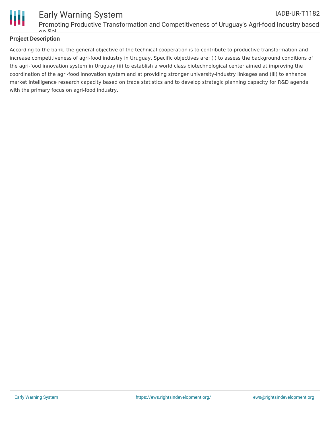

#### **Project Description**

According to the bank, the general objective of the technical cooperation is to contribute to productive transformation and increase competitiveness of agri-food industry in Uruguay. Specific objectives are: (i) to assess the background conditions of the agri-food innovation system in Uruguay (ii) to establish a world class biotechnological center aimed at improving the coordination of the agri-food innovation system and at providing stronger university-industry linkages and (iii) to enhance market intelligence research capacity based on trade statistics and to develop strategic planning capacity for R&D agenda with the primary focus on agri-food industry.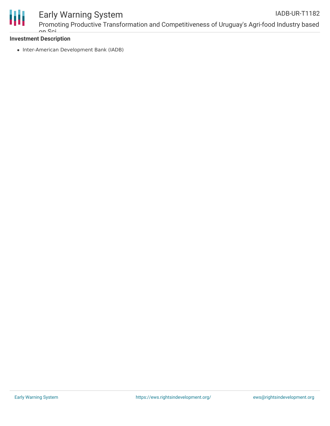

### Early Warning System

Promoting Productive Transformation and Competitiveness of Uruguay's Agri-food Industry based on Sci IADB-UR-T1182

#### **Investment Description**

• Inter-American Development Bank (IADB)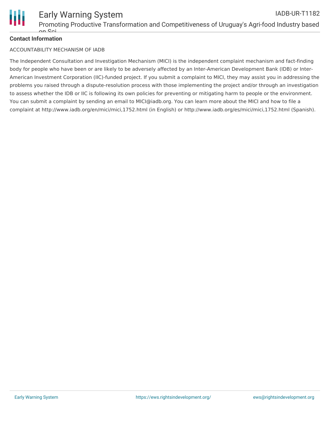

#### **Contact Information**

#### ACCOUNTABILITY MECHANISM OF IADB

The Independent Consultation and Investigation Mechanism (MICI) is the independent complaint mechanism and fact-finding body for people who have been or are likely to be adversely affected by an Inter-American Development Bank (IDB) or Inter-American Investment Corporation (IIC)-funded project. If you submit a complaint to MICI, they may assist you in addressing the problems you raised through a dispute-resolution process with those implementing the project and/or through an investigation to assess whether the IDB or IIC is following its own policies for preventing or mitigating harm to people or the environment. You can submit a complaint by sending an email to MICI@iadb.org. You can learn more about the MICI and how to file a complaint at http://www.iadb.org/en/mici/mici,1752.html (in English) or http://www.iadb.org/es/mici/mici,1752.html (Spanish).